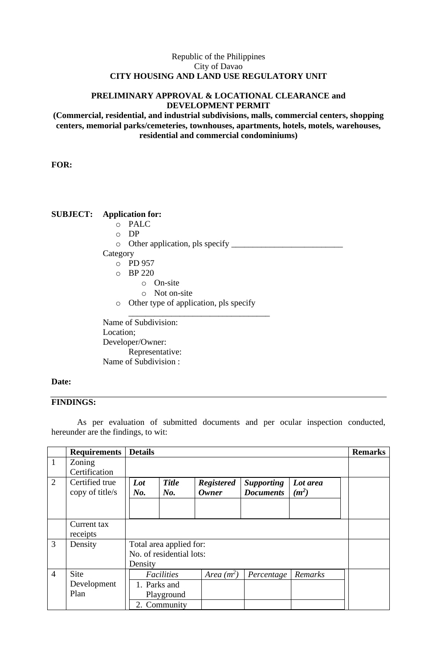## Republic of the Philippines City of Davao **CITY HOUSING AND LAND USE REGULATORY UNIT**

### **PRELIMINARY APPROVAL & LOCATIONAL CLEARANCE and DEVELOPMENT PERMIT**

**(Commercial, residential, and industrial subdivisions, malls, commercial centers, shopping centers, memorial parks/cemeteries, townhouses, apartments, hotels, motels, warehouses, residential and commercial condominiums)**

**FOR:**

# **SUBJECT: Application for:**

- o PALC
- o DP
- o Other application, pls specify \_\_\_\_\_\_\_\_\_\_\_\_\_\_\_\_\_\_\_\_\_\_\_\_\_\_ Category
	- o PD 957
	- o BP 220
		- o On-site
		- o Not on-site
	- o Other type of application, pls specify

\_\_\_\_\_\_\_\_\_\_\_\_\_\_\_\_\_\_\_\_\_\_\_\_\_\_\_\_\_\_\_\_\_ Name of Subdivision: Location; Developer/Owner: Representative: Name of Subdivision :

### **Date:**

### **FINDINGS:**

As per evaluation of submitted documents and per ocular inspection conducted, hereunder are the findings, to wit:

|                | <b>Requirements</b> | <b>Details</b>           |              |                   |                   |          | <b>Remarks</b> |
|----------------|---------------------|--------------------------|--------------|-------------------|-------------------|----------|----------------|
| $\mathbf{1}$   | Zoning              |                          |              |                   |                   |          |                |
|                | Certification       |                          |              |                   |                   |          |                |
| 2              | Certified true      | Lot                      | <b>Title</b> | <b>Registered</b> | <b>Supporting</b> | Lot area |                |
|                | copy of title/s     | No.                      | No.          | <b>Owner</b>      | <b>Documents</b>  | $(m^2)$  |                |
|                |                     |                          |              |                   |                   |          |                |
|                |                     |                          |              |                   |                   |          |                |
|                | Current tax         |                          |              |                   |                   |          |                |
|                | receipts            |                          |              |                   |                   |          |                |
| 3              | Density             | Total area applied for:  |              |                   |                   |          |                |
|                |                     | No. of residential lots: |              |                   |                   |          |                |
|                |                     | Density                  |              |                   |                   |          |                |
| $\overline{4}$ | Site                |                          | Facilities   | Area $(m^2)$      | Percentage        | Remarks  |                |
|                | Development         |                          | 1. Parks and |                   |                   |          |                |
|                | Plan                |                          | Playground   |                   |                   |          |                |
|                |                     |                          | 2. Community |                   |                   |          |                |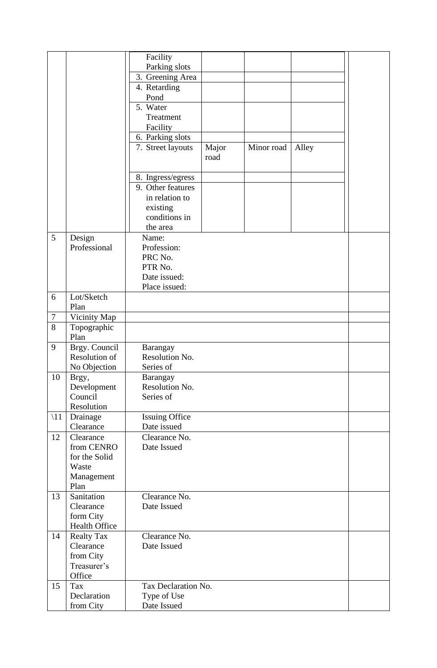|                |                                   | Facility                             |       |            |       |  |
|----------------|-----------------------------------|--------------------------------------|-------|------------|-------|--|
|                |                                   | Parking slots                        |       |            |       |  |
|                |                                   | 3. Greening Area                     |       |            |       |  |
|                |                                   | 4. Retarding                         |       |            |       |  |
|                |                                   | Pond                                 |       |            |       |  |
|                |                                   | 5. Water                             |       |            |       |  |
|                |                                   | Treatment                            |       |            |       |  |
|                |                                   | Facility                             |       |            |       |  |
|                |                                   | 6. Parking slots                     |       |            |       |  |
|                |                                   | 7. Street layouts                    | Major | Minor road | Alley |  |
|                |                                   |                                      | road  |            |       |  |
|                |                                   |                                      |       |            |       |  |
|                |                                   | 8. Ingress/egress                    |       |            |       |  |
|                |                                   | 9. Other features                    |       |            |       |  |
|                |                                   | in relation to                       |       |            |       |  |
|                |                                   | existing                             |       |            |       |  |
|                |                                   | conditions in                        |       |            |       |  |
|                |                                   | the area                             |       |            |       |  |
| 5              | Design                            | Name:                                |       |            |       |  |
|                | Professional                      | Profession:                          |       |            |       |  |
|                |                                   | PRC No.                              |       |            |       |  |
|                |                                   | PTR No.                              |       |            |       |  |
|                |                                   | Date issued:                         |       |            |       |  |
|                |                                   | Place issued:                        |       |            |       |  |
| 6              | Lot/Sketch                        |                                      |       |            |       |  |
|                | Plan                              |                                      |       |            |       |  |
| $\tau$<br>8    | Vicinity Map                      |                                      |       |            |       |  |
|                | Topographic<br>Plan               |                                      |       |            |       |  |
| 9              |                                   |                                      |       |            |       |  |
|                | Brgy. Council<br>Resolution of    | Barangay<br>Resolution No.           |       |            |       |  |
|                |                                   |                                      |       |            |       |  |
|                | No Objection                      | Series of                            |       |            |       |  |
| 10             | Brgy,                             | Barangay<br>Resolution No.           |       |            |       |  |
|                | Development<br>Council            | Series of                            |       |            |       |  |
|                | Resolution                        |                                      |       |            |       |  |
|                |                                   |                                      |       |            |       |  |
| $\setminus$ 11 | Drainage<br>Clearance             | <b>Issuing Office</b><br>Date issued |       |            |       |  |
|                |                                   | Clearance No.                        |       |            |       |  |
| 12             | Clearance<br>from CENRO           | Date Issued                          |       |            |       |  |
|                | for the Solid                     |                                      |       |            |       |  |
|                | Waste                             |                                      |       |            |       |  |
|                |                                   |                                      |       |            |       |  |
|                | Management<br>Plan                |                                      |       |            |       |  |
| 13             | Sanitation                        | Clearance No.                        |       |            |       |  |
|                | Clearance                         | Date Issued                          |       |            |       |  |
|                |                                   |                                      |       |            |       |  |
|                | form City<br><b>Health Office</b> |                                      |       |            |       |  |
| 14             |                                   | Clearance No.                        |       |            |       |  |
|                | <b>Realty Tax</b><br>Clearance    | Date Issued                          |       |            |       |  |
|                |                                   |                                      |       |            |       |  |
|                | from City<br>Treasurer's          |                                      |       |            |       |  |
|                | Office                            |                                      |       |            |       |  |
| 15             | Tax                               | Tax Declaration No.                  |       |            |       |  |
|                | Declaration                       |                                      |       |            |       |  |
|                |                                   | Type of Use                          |       |            |       |  |
|                | from City                         | Date Issued                          |       |            |       |  |